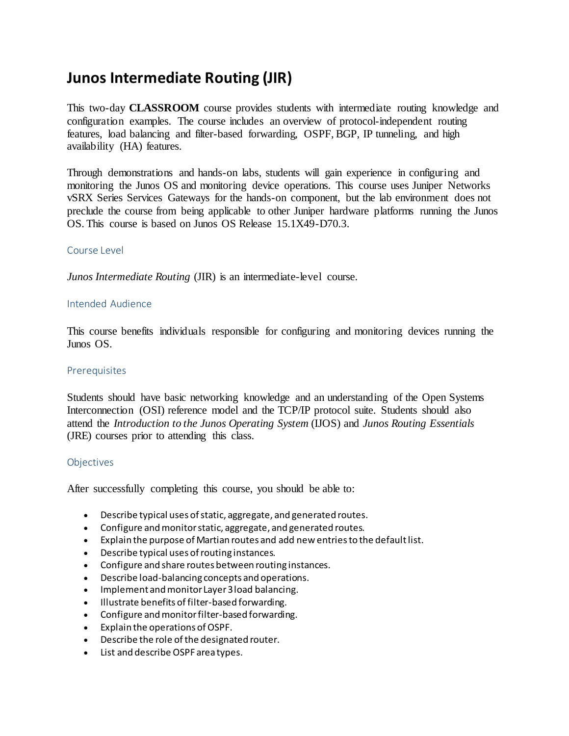# **Junos Intermediate Routing (JIR)**

This two-day **CLASSROOM** course provides students with intermediate routing knowledge and configuration examples. The course includes an overview of protocol-independent routing features, load balancing and filter-based forwarding, OSPF, BGP, IP tunneling, and high availability (HA) features.

Through demonstrations and hands-on labs, students will gain experience in configuring and monitoring the Junos OS and monitoring device operations. This course uses Juniper Networks vSRX Series Services Gateways for the hands-on component, but the lab environment does not preclude the course from being applicable to other Juniper hardware platforms running the Junos OS. This course is based on Junos OS Release 15.1X49-D70.3.

#### Course Level

*Junos Intermediate Routing* (JIR) is an intermediate-level course.

#### Intended Audience

This course benefits individuals responsible for configuring and monitoring devices running the Junos OS.

#### **Prerequisites**

Students should have basic networking knowledge and an understanding of the Open Systems Interconnection (OSI) reference model and the TCP/IP protocol suite. Students should also attend the *Introduction to the Junos Operating System* (IJOS) and *Junos Routing Essentials* (JRE) courses prior to attending this class.

#### Objectives

After successfully completing this course, you should be able to:

- Describe typical uses of static, aggregate, and generated routes.
- Configure and monitor static, aggregate, and generated routes.
- Explain the purpose of Martian routes and add new entries to the default list.
- Describe typical uses of routing instances.
- Configure and share routes between routing instances.
- Describe load-balancing concepts and operations.
- Implement and monitor Layer 3 load balancing.
- $\bullet$  Illustrate benefits of filter-based forwarding.
- Configure and monitor filter-based forwarding.
- Explain the operations of OSPF.
- Describe the role of the designated router.
- List and describe OSPF area types.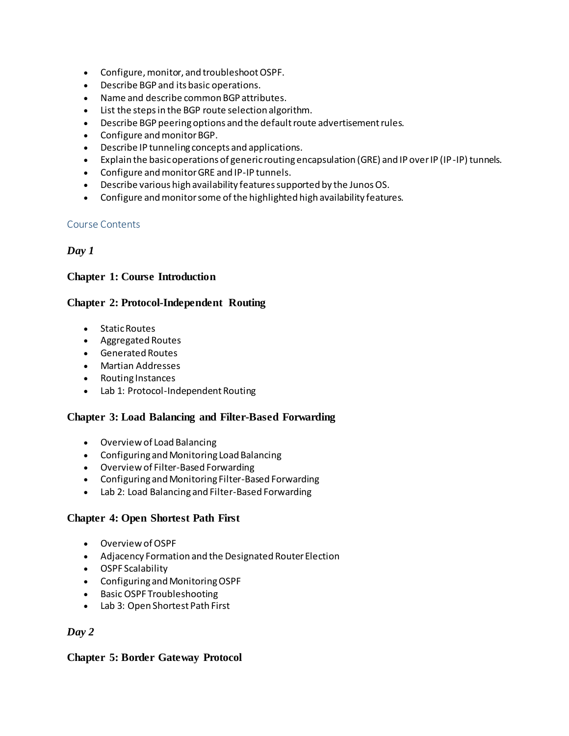- Configure, monitor, and troubleshoot OSPF.
- Describe BGP and its basic operations.
- Name and describe common BGP attributes.
- List the steps in the BGP route selection algorithm.
- Describe BGP peering options and the default route advertisement rules.
- Configure and monitor BGP.
- Describe IP tunneling concepts and applications.
- Explain the basic operations of generic routing encapsulation (GRE) and IP over IP (IP-IP) tunnels.
- Configure and monitor GRE and IP-IP tunnels.
- Describe various high availability features supported by the Junos OS.
- Configure and monitor some of the highlighted high availability features.

#### Course Contents

# *Day 1*

# **Chapter 1: Course Introduction**

# **Chapter 2: Protocol-Independent Routing**

- Static Routes
- Aggregated Routes
- Generated Routes
- Martian Addresses
- Routing Instances
- Lab 1: Protocol-Independent Routing

# **Chapter 3: Load Balancing and Filter-Based Forwarding**

- Overview of Load Balancing
- Configuring and Monitoring Load Balancing
- Overview of Filter-Based Forwarding
- Configuring and Monitoring Filter-Based Forwarding
- Lab 2: Load Balancing and Filter-Based Forwarding

# **Chapter 4: Open Shortest Path First**

- Overview of OSPF
- Adjacency Formation and the Designated Router Election
- OSPF Scalability
- Configuring and Monitoring OSPF
- Basic OSPF Troubleshooting
- Lab 3: Open Shortest Path First

# *Day 2*

#### **Chapter 5: Border Gateway Protocol**